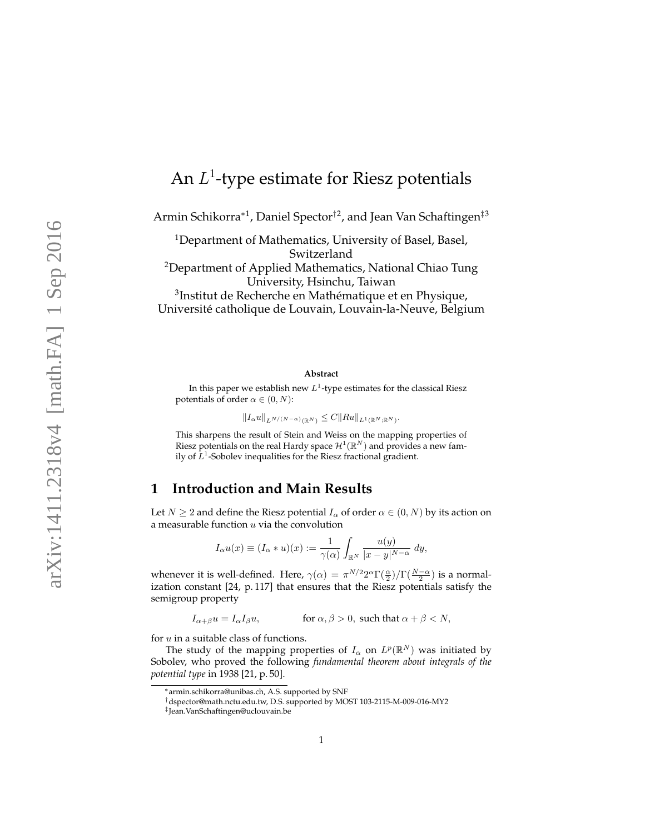# An  $L^1$ -type estimate for Riesz potentials

Armin Schikorra\*<sup>1</sup>, Daniel Spector<sup>†2</sup>, and Jean Van Schaftingen<sup>‡3</sup>

<sup>1</sup>Department of Mathematics, University of Basel, Basel, Switzerland <sup>2</sup>Department of Applied Mathematics, National Chiao Tung University, Hsinchu, Taiwan <sup>3</sup>Institut de Recherche en Mathématique et en Physique, Université catholique de Louvain, Louvain-la-Neuve, Belgium

#### **Abstract**

In this paper we establish new  $L^1$ -type estimates for the classical Riesz potentials of order  $\alpha \in (0, N)$ :

 $||I_{\alpha}u||_{L^{N/(N-\alpha)}(\mathbb{R}^N)} \leq C||Ru||_{L^1(\mathbb{R}^N;\mathbb{R}^N)}.$ 

This sharpens the result of Stein and Weiss on the mapping properties of Riesz potentials on the real Hardy space  $\mathcal{H}^1(\mathbb{R}^N)$  and provides a new family of  $L^1$ -Sobolev inequalities for the Riesz fractional gradient.

## **1 Introduction and Main Results**

Let  $N \geq 2$  and define the Riesz potential  $I_\alpha$  of order  $\alpha \in (0, N)$  by its action on a measurable function  $u$  via the convolution

$$
I_{\alpha}u(x) \equiv (I_{\alpha} * u)(x) := \frac{1}{\gamma(\alpha)} \int_{\mathbb{R}^N} \frac{u(y)}{|x - y|^{N - \alpha}} dy,
$$

whenever it is well-defined. Here,  $\gamma(\alpha) = \pi^{N/2} 2^{\alpha} \Gamma(\frac{\alpha}{2}) / \Gamma(\frac{N-\alpha}{2})$  is a normalization constant [24, p. 117] that ensures that the Riesz potentials satisfy the semigroup property

 $I_{\alpha+\beta}u = I_{\alpha}I_{\beta}u$ , for  $\alpha, \beta > 0$ , such that  $\alpha + \beta < N$ ,

for  $u$  in a suitable class of functions.

The study of the mapping properties of  $I_\alpha$  on  $L^p(\mathbb{R}^N)$  was initiated by Sobolev, who proved the following *fundamental theorem about integrals of the potential type* in 1938 [21, p. 50].

<sup>∗</sup>armin.schikorra@unibas.ch, A.S. supported by SNF

<sup>†</sup>dspector@math.nctu.edu.tw, D.S. supported by MOST 103-2115-M-009-016-MY2

<sup>‡</sup> Jean.VanSchaftingen@uclouvain.be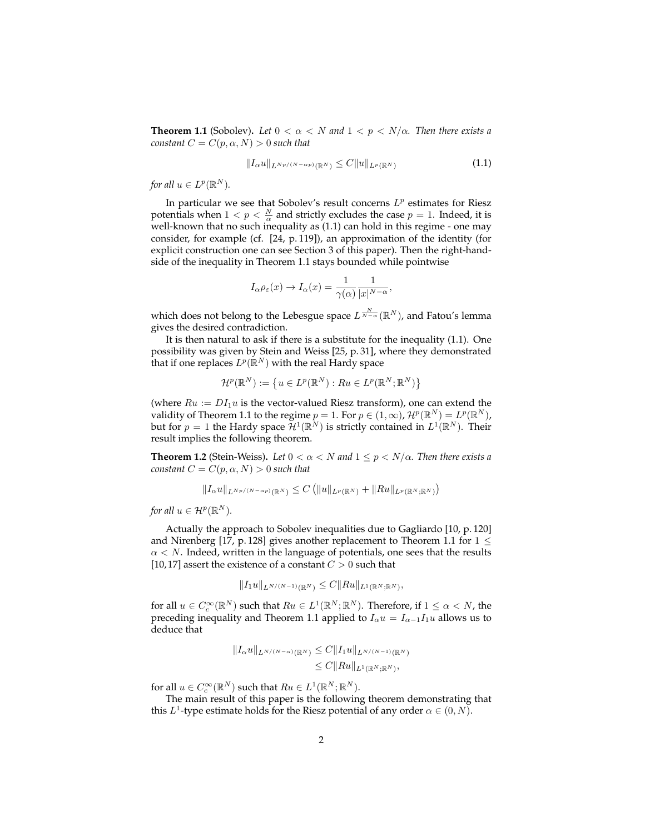**Theorem 1.1** (Sobolev). Let  $0 < \alpha < N$  and  $1 < p < N/\alpha$ . Then there exists a *constant*  $C = C(p, \alpha, N) > 0$  *such that* 

$$
||I_{\alpha}u||_{L^{Np/(N-\alpha p)}(\mathbb{R}^N)} \leq C||u||_{L^p(\mathbb{R}^N)}\tag{1.1}
$$

*for all*  $u \in L^p(\mathbb{R}^N)$ *.* 

In particular we see that Sobolev's result concerns  $L^p$  estimates for Riesz potentials when  $1 < p < \frac{N}{\alpha}$  and strictly excludes the case  $p = 1$ . Indeed, it is well-known that no such inequality as (1.1) can hold in this regime - one may consider, for example (cf. [24, p. 119]), an approximation of the identity (for explicit construction one can see Section 3 of this paper). Then the right-handside of the inequality in Theorem 1.1 stays bounded while pointwise

$$
I_{\alpha}\rho_{\varepsilon}(x) \to I_{\alpha}(x) = \frac{1}{\gamma(\alpha)} \frac{1}{|x|^{N-\alpha}},
$$

which does not belong to the Lebesgue space  $L^{\frac{N}{N-\alpha}}(\mathbb{R}^N)$ , and Fatou's lemma gives the desired contradiction.

It is then natural to ask if there is a substitute for the inequality (1.1). One possibility was given by Stein and Weiss [25, p. 31], where they demonstrated that if one replaces  $L^p(\mathbb{R}^N)$  with the real Hardy space

$$
\mathcal{H}^p(\mathbb{R}^N) := \left\{ u \in L^p(\mathbb{R}^N) : Ru \in L^p(\mathbb{R}^N; \mathbb{R}^N) \right\}
$$

(where  $Ru := DI_1u$  is the vector-valued Riesz transform), one can extend the validity of Theorem 1.1 to the regime  $p = 1$ . For  $p \in (1, \infty)$ ,  $\mathcal{H}^p(\mathbb{R}^N) = L^p(\mathbb{R}^N)$ , but for  $p = 1$  the Hardy space  $\mathcal{H}^1(\mathbb{R}^N)$  is strictly contained in  $L^1(\mathbb{R}^N)$ . Their result implies the following theorem.

**Theorem 1.2** (Stein-Weiss). Let  $0 < \alpha < N$  and  $1 \leq p < N/\alpha$ . Then there exists a *constant*  $C = C(p, \alpha, N) > 0$  *such that* 

$$
||I_{\alpha}u||_{L^{Np/(N-\alpha p)}(\mathbb{R}^N)} \leq C (||u||_{L^p(\mathbb{R}^N)} + ||Ru||_{L^p(\mathbb{R}^N;\mathbb{R}^N)})
$$

*for all*  $u \in \mathcal{H}^p(\mathbb{R}^N)$ *.* 

Actually the approach to Sobolev inequalities due to Gagliardo [10, p. 120] and Nirenberg [17, p. 128] gives another replacement to Theorem 1.1 for  $1 \le$  $\alpha < N$ . Indeed, written in the language of potentials, one sees that the results [10, 17] assert the existence of a constant  $C > 0$  such that

$$
||I_1u||_{L^{N/(N-1)}(\mathbb{R}^N)} \leq C||Ru||_{L^1(\mathbb{R}^N;\mathbb{R}^N)},
$$

for all  $u \in C_c^{\infty}(\mathbb{R}^N)$  such that  $Ru \in L^1(\mathbb{R}^N;\mathbb{R}^N)$ . Therefore, if  $1 \leq \alpha < N$ , the preceding inequality and Theorem 1.1 applied to  $I_{\alpha}u = I_{\alpha-1}I_1u$  allows us to deduce that

$$
||I_{\alpha}u||_{L^{N/(N-\alpha)}(\mathbb{R}^N)} \leq C||I_1u||_{L^{N/(N-1)}(\mathbb{R}^N)}
$$
  

$$
\leq C||Ru||_{L^1(\mathbb{R}^N;\mathbb{R}^N)},
$$

for all  $u \in C_c^{\infty}(\mathbb{R}^N)$  such that  $Ru \in L^1(\mathbb{R}^N;\mathbb{R}^N)$ .

The main result of this paper is the following theorem demonstrating that this  $L^1$ -type estimate holds for the Riesz potential of any order  $\alpha \in (0, N)$ .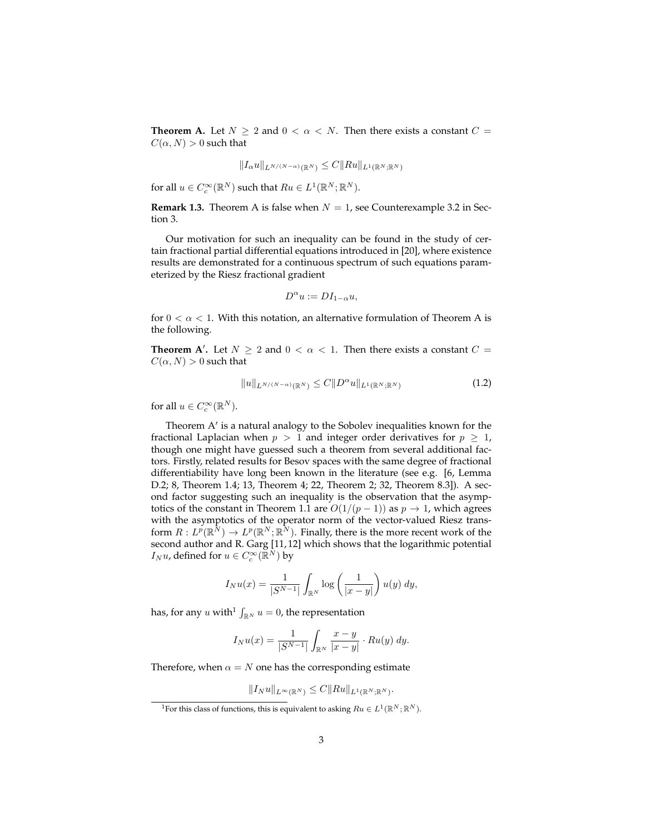**Theorem A.** Let  $N \ge 2$  and  $0 < \alpha < N$ . Then there exists a constant  $C =$  $C(\alpha, N) > 0$  such that

$$
||I_{\alpha}u||_{L^{N/(N-\alpha)}(\mathbb{R}^N)} \leq C||Ru||_{L^1(\mathbb{R}^N;\mathbb{R}^N)}
$$

for all  $u \in C_c^{\infty}(\mathbb{R}^N)$  such that  $Ru \in L^1(\mathbb{R}^N;\mathbb{R}^N)$ .

**Remark 1.3.** Theorem A is false when  $N = 1$ , see Counterexample 3.2 in Section 3.

Our motivation for such an inequality can be found in the study of certain fractional partial differential equations introduced in [20], where existence results are demonstrated for a continuous spectrum of such equations parameterized by the Riesz fractional gradient

$$
D^{\alpha}u:=DI_{1-\alpha}u,
$$

for  $0 < \alpha < 1$ . With this notation, an alternative formulation of Theorem A is the following.

**Theorem A'.** Let  $N \ge 2$  and  $0 < \alpha < 1$ . Then there exists a constant  $C =$  $C(\alpha, N) > 0$  such that

$$
||u||_{L^{N/(N-\alpha)}(\mathbb{R}^N)} \leq C||D^{\alpha}u||_{L^1(\mathbb{R}^N;\mathbb{R}^N)}
$$
\n(1.2)

for all  $u \in C_c^{\infty}(\mathbb{R}^N)$ .

Theorem A' is a natural analogy to the Sobolev inequalities known for the fractional Laplacian when  $p > 1$  and integer order derivatives for  $p \ge 1$ , though one might have guessed such a theorem from several additional factors. Firstly, related results for Besov spaces with the same degree of fractional differentiability have long been known in the literature (see e.g. [6, Lemma D.2; 8, Theorem 1.4; 13, Theorem 4; 22, Theorem 2; 32, Theorem 8.3]). A second factor suggesting such an inequality is the observation that the asymptotics of the constant in Theorem 1.1 are  $O(1/(p-1))$  as  $p \to 1$ , which agrees with the asymptotics of the operator norm of the vector-valued Riesz transform  $R: L^p(\mathbb{R}^N) \to L^p(\mathbb{R}^N;\mathbb{R}^N)$ . Finally, there is the more recent work of the second author and R. Garg [11, 12] which shows that the logarithmic potential  $I_N u$ , defined for  $u \in C_c^{\infty}(\mathbb{R}^N)$  by

$$
I_N u(x) = \frac{1}{|S^{N-1}|} \int_{\mathbb{R}^N} \log \left( \frac{1}{|x-y|} \right) u(y) dy,
$$

has, for any  $u$  with<sup>1</sup>  $\int_{\mathbb{R}^N} u = 0$ , the representation

$$
I_N u(x) = \frac{1}{|S^{N-1}|} \int_{\mathbb{R}^N} \frac{x - y}{|x - y|} \cdot Ru(y) \, dy.
$$

Therefore, when  $\alpha = N$  one has the corresponding estimate

$$
||I_N u||_{L^{\infty}(\mathbb{R}^N)} \leq C||Ru||_{L^1(\mathbb{R}^N;\mathbb{R}^N)}.
$$

<sup>&</sup>lt;sup>1</sup>For this class of functions, this is equivalent to asking  $Ru \in L^1(\mathbb{R}^N;\mathbb{R}^N)$ .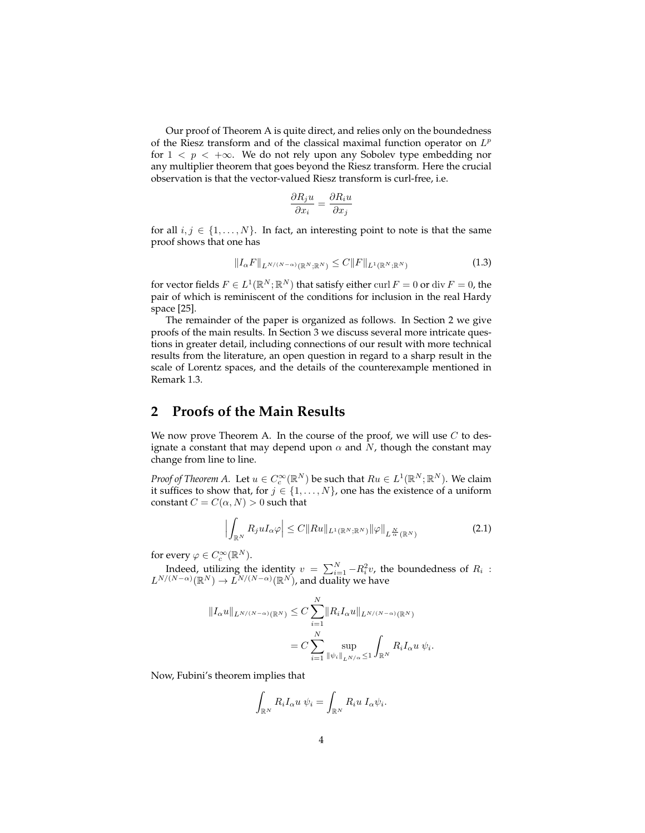Our proof of Theorem A is quite direct, and relies only on the boundedness of the Riesz transform and of the classical maximal function operator on  $L^p$ for  $1 \leq p \leq +\infty$ . We do not rely upon any Sobolev type embedding nor any multiplier theorem that goes beyond the Riesz transform. Here the crucial observation is that the vector-valued Riesz transform is curl-free, i.e.

$$
\frac{\partial R_j u}{\partial x_i} = \frac{\partial R_i u}{\partial x_j}
$$

for all  $i, j \in \{1, \ldots, N\}$ . In fact, an interesting point to note is that the same proof shows that one has

$$
||I_{\alpha}F||_{L^{N/(N-\alpha)}(\mathbb{R}^N;\mathbb{R}^N)} \leq C||F||_{L^{1}(\mathbb{R}^N;\mathbb{R}^N)}
$$
\n(1.3)

for vector fields  $F \in L^1(\mathbb{R}^N;\mathbb{R}^N)$  that satisfy either  $\text{curl } F = 0$  or  $\text{div } F = 0$ , the pair of which is reminiscent of the conditions for inclusion in the real Hardy space [25].

The remainder of the paper is organized as follows. In Section 2 we give proofs of the main results. In Section 3 we discuss several more intricate questions in greater detail, including connections of our result with more technical results from the literature, an open question in regard to a sharp result in the scale of Lorentz spaces, and the details of the counterexample mentioned in Remark 1.3.

# **2 Proofs of the Main Results**

We now prove Theorem A. In the course of the proof, we will use  $C$  to designate a constant that may depend upon  $\alpha$  and N, though the constant may change from line to line.

*Proof of Theorem A.* Let  $u \in C_c^{\infty}(\mathbb{R}^N)$  be such that  $Ru \in L^1(\mathbb{R}^N;\mathbb{R}^N)$ . We claim it suffices to show that, for  $j \in \{1, \ldots, N\}$ , one has the existence of a uniform constant  $C = C(\alpha, N) > 0$  such that

$$
\left| \int_{\mathbb{R}^N} R_j u I_\alpha \varphi \right| \leq C \| R u \|_{L^1(\mathbb{R}^N; \mathbb{R}^N)} \| \varphi \|_{L^\frac{N}{\alpha}(\mathbb{R}^N)} \tag{2.1}
$$

for every  $\varphi \in C_c^{\infty}(\mathbb{R}^N)$ .

Indeed, utilizing the identity  $v = \sum_{i=1}^{N} -R_i^2 v$ , the boundedness of  $R_i$ :  $L^{N/(N-\alpha)}(\mathbb{R}^N) \to L^{N/(N-\alpha)}(\mathbb{R}^N)$ , and duality we have

$$
||I_{\alpha}u||_{L^{N/(N-\alpha)}(\mathbb{R}^N)} \leq C \sum_{i=1}^N ||R_i I_{\alpha}u||_{L^{N/(N-\alpha)}(\mathbb{R}^N)}
$$
  
= 
$$
C \sum_{i=1}^N \sup_{||\psi_i||_{L^{N/\alpha}} \leq 1} \int_{\mathbb{R}^N} R_i I_{\alpha}u \ \psi_i.
$$

Now, Fubini's theorem implies that

$$
\int_{\mathbb{R}^N} R_i I_{\alpha} u \psi_i = \int_{\mathbb{R}^N} R_i u I_{\alpha} \psi_i.
$$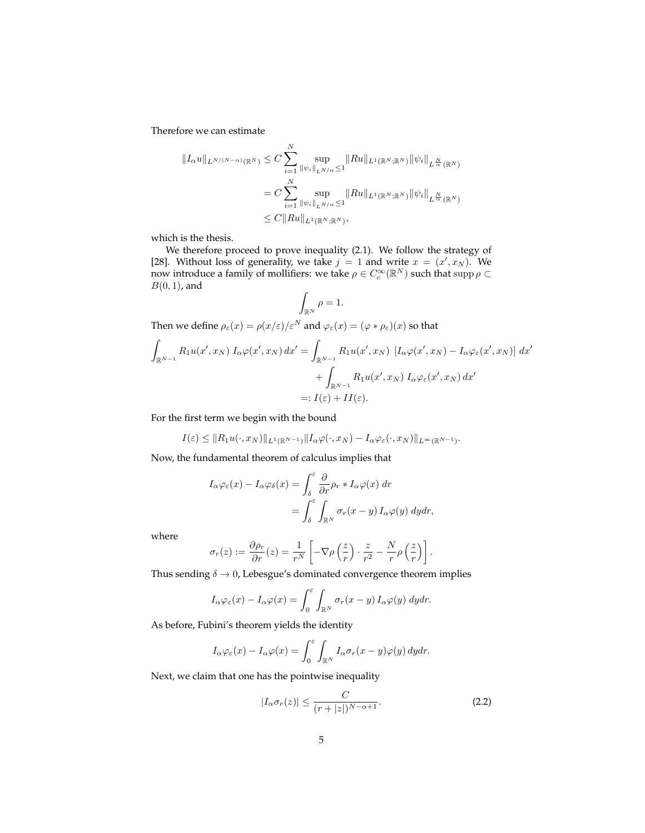Therefore we can estimate

$$
||I_{\alpha}u||_{L^{N/(N-\alpha)}(\mathbb{R}^N)} \leq C \sum_{i=1}^N \sup_{\|\psi_i\|_{L^{N/\alpha}} \leq 1} ||Ru||_{L^1(\mathbb{R}^N;\mathbb{R}^N)} ||\psi_i||_{L^{\frac{N}{\alpha}}(\mathbb{R}^N)}
$$
  
=  $C \sum_{i=1}^N \sup_{\|\psi_i\|_{L^{N/\alpha}} \leq 1} ||Ru||_{L^1(\mathbb{R}^N;\mathbb{R}^N)} ||\psi_i||_{L^{\frac{N}{\alpha}}(\mathbb{R}^N)}$   
 $\leq C ||Ru||_{L^1(\mathbb{R}^N;\mathbb{R}^N)},$ 

which is the thesis.

We therefore proceed to prove inequality (2.1). We follow the strategy of [28]. Without loss of generality, we take  $j = 1$  and write  $x = (x', x_N)$ . We now introduce a family of mollifiers: we take  $\rho \in C_c^{\infty}(\mathbb{R}^N)$  such that  $\text{supp}\,\rho \subset$  $B(0, 1)$ , and

$$
\int_{\mathbb{R}^N}\rho=1.
$$

Then we define  $\rho_{\varepsilon}(x) = \rho(x/\varepsilon)/\varepsilon^N$  and  $\varphi_{\varepsilon}(x) = (\varphi * \rho_{\varepsilon})(x)$  so that

$$
\int_{\mathbb{R}^{N-1}} R_1 u(x', x_N) I_{\alpha} \varphi(x', x_N) dx' = \int_{\mathbb{R}^{N-1}} R_1 u(x', x_N) [I_{\alpha} \varphi(x', x_N) - I_{\alpha} \varphi_{\varepsilon}(x', x_N)] dx' \n+ \int_{\mathbb{R}^{N-1}} R_1 u(x', x_N) I_{\alpha} \varphi_{\varepsilon}(x', x_N) dx' \n=: I(\varepsilon) + II(\varepsilon).
$$

For the first term we begin with the bound

$$
I(\varepsilon) \leq ||R_1 u(\cdot, x_N)||_{L^1(\mathbb{R}^{N-1})} ||I_\alpha \varphi(\cdot, x_N) - I_\alpha \varphi_\varepsilon(\cdot, x_N)||_{L^\infty(\mathbb{R}^{N-1})}.
$$

Now, the fundamental theorem of calculus implies that

$$
I_{\alpha}\varphi_{\varepsilon}(x) - I_{\alpha}\varphi_{\delta}(x) = \int_{\delta}^{\varepsilon} \frac{\partial}{\partial r} \rho_r * I_{\alpha}\varphi(x) dr
$$
  
= 
$$
\int_{\delta}^{\varepsilon} \int_{\mathbb{R}^N} \sigma_r(x - y) I_{\alpha}\varphi(y) dy dr,
$$

where

$$
\sigma_r(z) := \frac{\partial \rho_r}{\partial r}(z) = \frac{1}{r^N} \left[ -\nabla \rho \left( \frac{z}{r} \right) \cdot \frac{z}{r^2} - \frac{N}{r} \rho \left( \frac{z}{r} \right) \right].
$$

Thus sending  $\delta \rightarrow 0$ , Lebesgue's dominated convergence theorem implies

$$
I_{\alpha}\varphi_{\varepsilon}(x) - I_{\alpha}\varphi(x) = \int_0^{\varepsilon} \int_{\mathbb{R}^N} \sigma_r(x - y) I_{\alpha}\varphi(y) \, dy dr.
$$

As before, Fubini's theorem yields the identity

$$
I_{\alpha}\varphi_{\varepsilon}(x) - I_{\alpha}\varphi(x) = \int_0^{\varepsilon} \int_{\mathbb{R}^N} I_{\alpha}\sigma_r(x - y)\varphi(y) \,dy dr.
$$

Next, we claim that one has the pointwise inequality

$$
|I_{\alpha}\sigma_r(z)| \le \frac{C}{(r+|z|)^{N-\alpha+1}}.\tag{2.2}
$$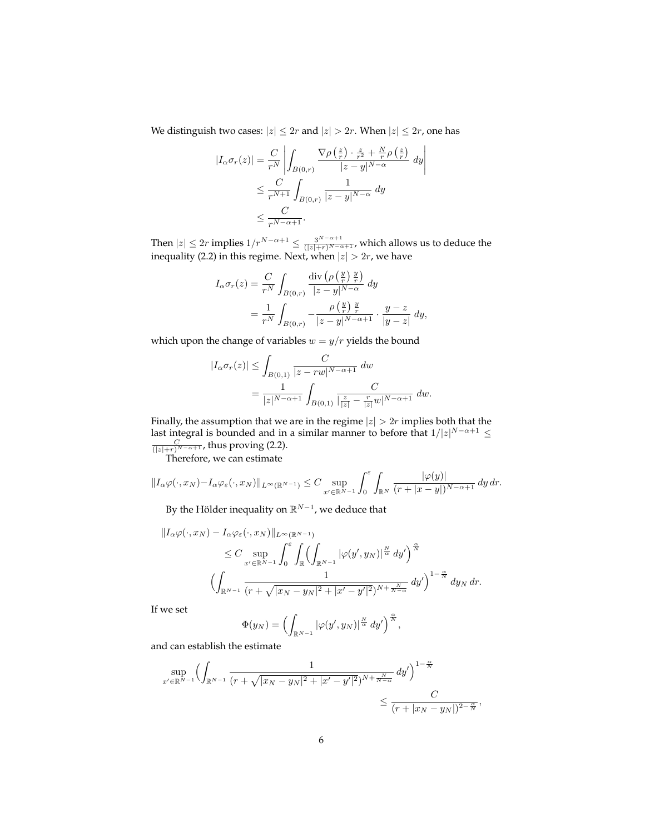We distinguish two cases:  $|z| \leq 2r$  and  $|z| > 2r$ . When  $|z| \leq 2r$ , one has

$$
|I_{\alpha}\sigma_r(z)| = \frac{C}{r^N} \left| \int_{B(0,r)} \frac{\nabla \rho\left(\frac{z}{r}\right) \cdot \frac{z}{r^2} + \frac{N}{r} \rho\left(\frac{z}{r}\right)}{|z - y|^{N - \alpha}} dy \right|
$$
  

$$
\leq \frac{C}{r^{N+1}} \int_{B(0,r)} \frac{1}{|z - y|^{N - \alpha}} dy
$$
  

$$
\leq \frac{C}{r^{N - \alpha + 1}}.
$$

Then  $|z| \leq 2r$  implies  $1/r^{N-\alpha+1} \leq \frac{3^{N-\alpha+1}}{(|z|+r)^{N-\alpha+1}}$ , which allows us to deduce the inequality (2.2) in this regime. Next, when  $|z| > 2r$ , we have

$$
I_{\alpha}\sigma_r(z) = \frac{C}{r^N} \int_{B(0,r)} \frac{\operatorname{div} \left( \rho \left( \frac{y}{r} \right) \frac{y}{r} \right)}{|z - y|^{N - \alpha}} dy
$$
  
= 
$$
\frac{1}{r^N} \int_{B(0,r)} -\frac{\rho \left( \frac{y}{r} \right) \frac{y}{r}}{|z - y|^{N - \alpha + 1}} \cdot \frac{y - z}{|y - z|} dy,
$$

which upon the change of variables  $w = y/r$  yields the bound

$$
|I_{\alpha}\sigma_r(z)| \le \int_{B(0,1)} \frac{C}{|z - rw|^{N-\alpha+1}} dw
$$
  
= 
$$
\frac{1}{|z|^{N-\alpha+1}} \int_{B(0,1)} \frac{C}{|\frac{z}{|z|} - \frac{r}{|z|}w|^{N-\alpha+1}} dw.
$$

Finally, the assumption that we are in the regime  $|z| > 2r$  implies both that the last integral is bounded and in a similar manner to before that  $1/|z|^{N-\alpha+1} \le \frac{C}{(|z|+r)^{N-\alpha+1}}$ , thus proving (2.2).<br>Therefore, we can estimate

$$
||I_{\alpha}\varphi(\cdot, x_N)-I_{\alpha}\varphi_{\varepsilon}(\cdot, x_N)||_{L^{\infty}(\mathbb{R}^{N-1})} \leq C \sup_{x' \in \mathbb{R}^{N-1}} \int_0^{\varepsilon} \int_{\mathbb{R}^N} \frac{|\varphi(y)|}{(r+|x-y|)^{N-\alpha+1}} dy dr.
$$

By the Hölder inequality on  $\mathbb{R}^{N-1}$ , we deduce that

$$
||I_{\alpha}\varphi(\cdot,x_N)-I_{\alpha}\varphi_{\varepsilon}(\cdot,x_N)||_{L^{\infty}(\mathbb{R}^{N-1})}
$$
  
\n
$$
\leq C \sup_{x'\in\mathbb{R}^{N-1}} \int_0^{\varepsilon} \int_{\mathbb{R}} \left( \int_{\mathbb{R}^{N-1}} |\varphi(y',y_N)|^{\frac{N}{\alpha}} dy' \right)^{\frac{\alpha}{N}}
$$
  
\n
$$
\left( \int_{\mathbb{R}^{N-1}} \frac{1}{(r+\sqrt{|x_N-y_N|^2+|x'-y'|^2})^{N+\frac{N}{N-\alpha}}} dy' \right)^{1-\frac{\alpha}{N}} dy_N dr.
$$

If we set

$$
\Phi(y_N) = \Bigl(\int_{\mathbb{R}^{N-1}} |\varphi(y', y_N)|^{\frac{N}{\alpha}} dy' \Bigr)^{\frac{\alpha}{N}},
$$

and can establish the estimate

$$
\sup_{x' \in \mathbb{R}^{N-1}} \left( \int_{\mathbb{R}^{N-1}} \frac{1}{(r + \sqrt{|x_N - y_N|^2 + |x' - y'|^2})^{N + \frac{N}{N-\alpha}}} \, dy' \right)^{1-\frac{\alpha}{N}} \le \frac{C}{(r + |x_N - y_N|)^{2-\frac{\alpha}{N}}},
$$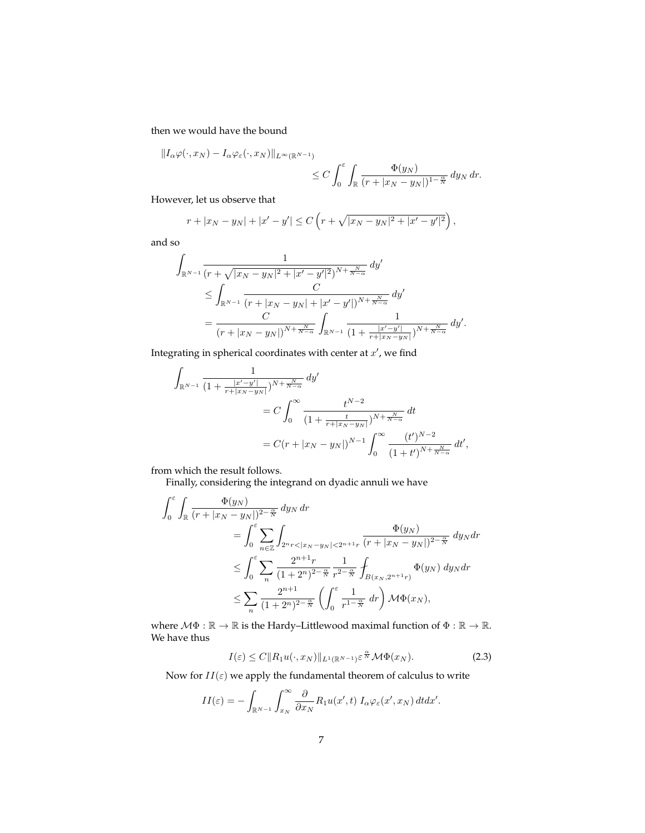then we would have the bound

$$
||I_{\alpha}\varphi(\cdot,x_N)-I_{\alpha}\varphi_{\varepsilon}(\cdot,x_N)||_{L^{\infty}(\mathbb{R}^{N-1})}\n\leq C\int_0^{\varepsilon}\int_{\mathbb{R}}\frac{\Phi(y_N)}{(r+|x_N-y_N|)^{1-\frac{\alpha}{N}}}dy_N\,dr.
$$

However, let us observe that

$$
r + |x_N - y_N| + |x' - y'| \le C \left( r + \sqrt{|x_N - y_N|^2 + |x' - y'|^2} \right),
$$

and so

$$
\begin{split} & \int_{\mathbb{R}^{N-1}} \frac{1}{(r+\sqrt{|x_N-y_N|^2+|x'-y'|^2})^{N+\frac{N}{N-\alpha}}} \, dy' \\ & \leq \int_{\mathbb{R}^{N-1}} \frac{C}{(r+|x_N-y_N|+|x'-y'|)^{N+\frac{N}{N-\alpha}}} \, dy' \\ & = \frac{C}{(r+|x_N-y_N|)^{N+\frac{N}{N-\alpha}}} \int_{\mathbb{R}^{N-1}} \frac{1}{(1+\frac{|x'-y'|}{r+|x_N-y_N|})^{N+\frac{N}{N-\alpha}}} \, dy' . \end{split}
$$

Integrating in spherical coordinates with center at  $x'$ , we find

$$
\int_{\mathbb{R}^{N-1}} \frac{1}{(1 + \frac{|x' - y'|}{r + |x_N - y_N|})^{N + \frac{N}{N - \alpha}}} dy'
$$
\n
$$
= C \int_0^\infty \frac{t^{N-2}}{(1 + \frac{t}{r + |x_N - y_N|})^{N + \frac{N}{N - \alpha}}} dt
$$
\n
$$
= C(r + |x_N - y_N|)^{N-1} \int_0^\infty \frac{(t')^{N-2}}{(1 + t')^{N + \frac{N}{N - \alpha}}} dt',
$$

from which the result follows.

Finally, considering the integrand on dyadic annuli we have

$$
\int_0^{\varepsilon} \int_{\mathbb{R}} \frac{\Phi(y_N)}{(r+|x_N-y_N|)^{2-\frac{\alpha}{N}}} dy_N dr
$$
\n
$$
= \int_0^{\varepsilon} \sum_{n \in \mathbb{Z}} \int_{2^n r < |x_N-y_N| < 2^{n+1}r} \frac{\Phi(y_N)}{(r+|x_N-y_N|)^{2-\frac{\alpha}{N}}} dy_N dr
$$
\n
$$
\leq \int_0^{\varepsilon} \sum_{n} \frac{2^{n+1}r}{(1+2^n)^{2-\frac{\alpha}{N}}} \frac{1}{r^{2-\frac{\alpha}{N}}} \int_{B(x_N, 2^{n+1}r)} \Phi(y_N) dy_N dr
$$
\n
$$
\leq \sum_{n} \frac{2^{n+1}}{(1+2^n)^{2-\frac{\alpha}{N}}} \left( \int_0^{\varepsilon} \frac{1}{r^{1-\frac{\alpha}{N}}} dr \right) \mathcal{M} \Phi(x_N),
$$

where  $\mathcal{M}\Phi : \mathbb{R} \to \mathbb{R}$  is the Hardy–Littlewood maximal function of  $\Phi : \mathbb{R} \to \mathbb{R}$ . We have thus

$$
I(\varepsilon) \le C \|R_1 u(\cdot, x_N)\|_{L^1(\mathbb{R}^{N-1})} \varepsilon^{\frac{\alpha}{N}} \mathcal{M} \Phi(x_N). \tag{2.3}
$$

Now for  $II(\varepsilon)$  we apply the fundamental theorem of calculus to write

$$
II(\varepsilon) = -\int_{\mathbb{R}^{N-1}} \int_{x_N}^{\infty} \frac{\partial}{\partial x_N} R_1 u(x',t) I_{\alpha} \varphi_{\varepsilon}(x',x_N) dt dx'.
$$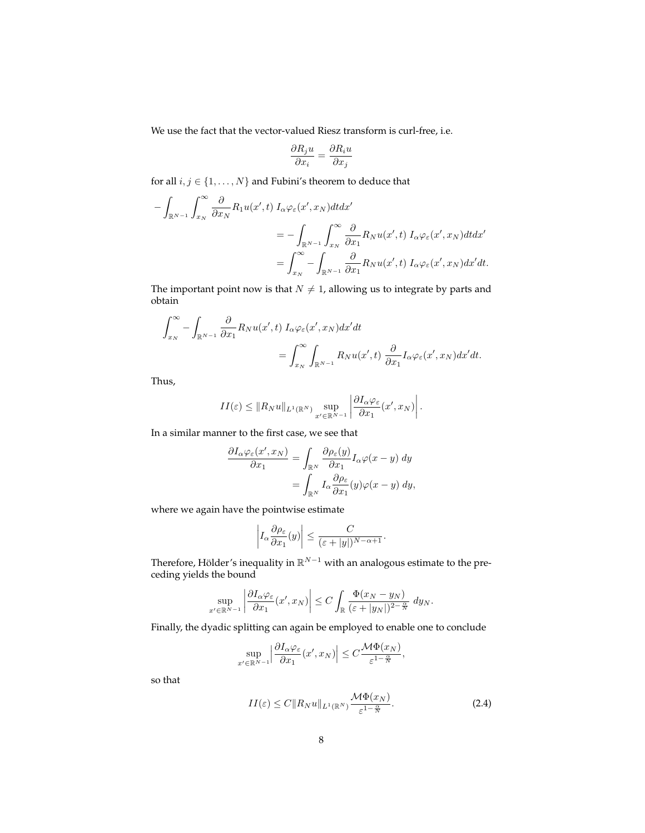We use the fact that the vector-valued Riesz transform is curl-free, i.e.

$$
\frac{\partial R_j u}{\partial x_i} = \frac{\partial R_i u}{\partial x_j}
$$

for all  $i, j \in \{1, \ldots, N\}$  and Fubini's theorem to deduce that

$$
-\int_{\mathbb{R}^{N-1}} \int_{x_N}^{\infty} \frac{\partial}{\partial x_N} R_1 u(x',t) I_{\alpha} \varphi_{\varepsilon}(x',x_N) dt dx'
$$
  

$$
= -\int_{\mathbb{R}^{N-1}} \int_{x_N}^{\infty} \frac{\partial}{\partial x_1} R_N u(x',t) I_{\alpha} \varphi_{\varepsilon}(x',x_N) dt dx'
$$
  

$$
= \int_{x_N}^{\infty} -\int_{\mathbb{R}^{N-1}} \frac{\partial}{\partial x_1} R_N u(x',t) I_{\alpha} \varphi_{\varepsilon}(x',x_N) dx' dt.
$$

The important point now is that  $N \neq 1$ , allowing us to integrate by parts and obtain

$$
\int_{x_N}^{\infty} - \int_{\mathbb{R}^{N-1}} \frac{\partial}{\partial x_1} R_N u(x',t) I_{\alpha} \varphi_{\varepsilon}(x',x_N) dx'dt
$$
  
= 
$$
\int_{x_N}^{\infty} \int_{\mathbb{R}^{N-1}} R_N u(x',t) \frac{\partial}{\partial x_1} I_{\alpha} \varphi_{\varepsilon}(x',x_N) dx'dt.
$$

Thus,

$$
II(\varepsilon) \leq ||R_N u||_{L^1(\mathbb{R}^N)} \sup_{x' \in \mathbb{R}^{N-1}} \left| \frac{\partial I_\alpha \varphi_{\varepsilon}}{\partial x_1}(x', x_N) \right|.
$$

In a similar manner to the first case, we see that

$$
\frac{\partial I_{\alpha}\varphi_{\varepsilon}(x',x_N)}{\partial x_1} = \int_{\mathbb{R}^N} \frac{\partial \rho_{\varepsilon}(y)}{\partial x_1} I_{\alpha}\varphi(x-y) dy \n= \int_{\mathbb{R}^N} I_{\alpha} \frac{\partial \rho_{\varepsilon}}{\partial x_1}(y)\varphi(x-y) dy,
$$

where we again have the pointwise estimate

$$
\left| I_{\alpha} \frac{\partial \rho_{\varepsilon}}{\partial x_1}(y) \right| \leq \frac{C}{(\varepsilon + |y|)^{N-\alpha+1}}.
$$

Therefore, Hölder's inequality in  $\mathbb{R}^{N-1}$  with an analogous estimate to the preceding yields the bound

$$
\sup_{x'\in\mathbb{R}^{N-1}}\left|\frac{\partial I_{\alpha}\varphi_{\varepsilon}}{\partial x_1}(x',x_N)\right|\leq C\int_{\mathbb{R}}\frac{\Phi(x_N-y_N)}{(\varepsilon+|y_N|)^{2-\frac{\alpha}{N}}}\;dy_N.
$$

Finally, the dyadic splitting can again be employed to enable one to conclude

$$
\sup_{x' \in \mathbb{R}^{N-1}} \left| \frac{\partial I_{\alpha} \varphi_{\varepsilon}}{\partial x_1} (x', x_N) \right| \leq C \frac{\mathcal{M} \Phi(x_N)}{\varepsilon^{1-\frac{\alpha}{N}}},
$$

so that

$$
II(\varepsilon) \le C \|R_N u\|_{L^1(\mathbb{R}^N)} \frac{\mathcal{M}\Phi(x_N)}{\varepsilon^{1-\frac{\alpha}{N}}}.
$$
\n(2.4)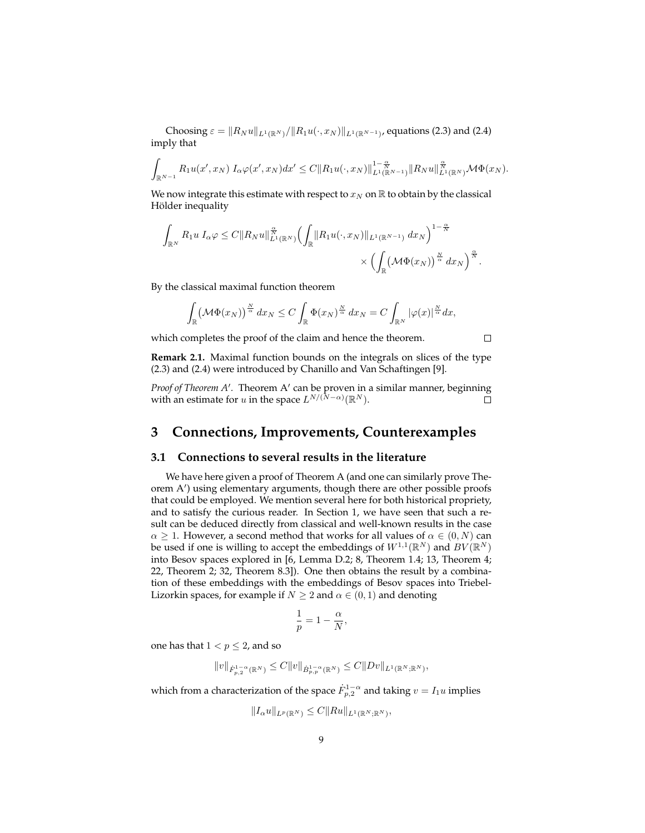Choosing  $\varepsilon = ||R_N u||_{L^1(\mathbb{R}^N)}/||R_1 u(\cdot, x_N)||_{L^1(\mathbb{R}^{N-1})}$ , equations (2.3) and (2.4) imply that

$$
\int_{\mathbb{R}^{N-1}} R_1 u(x',x_N) I_\alpha \varphi(x',x_N) dx' \leq C \|R_1 u(\cdot,x_N)\|_{L^1(\mathbb{R}^{N-1})}^{1-\frac{\alpha}{N}} \|R_N u\|_{L^1(\mathbb{R}^N)}^{\frac{\alpha}{N}} \mathcal{M} \Phi(x_N).
$$

We now integrate this estimate with respect to  $x_N$  on  $\mathbb R$  to obtain by the classical Hölder inequality

$$
\int_{\mathbb{R}^N} R_1 u I_{\alpha} \varphi \leq C \|R_N u\|_{L^1(\mathbb{R}^N)}^{\frac{\alpha}{N}} \left(\int_{\mathbb{R}} \|R_1 u(\cdot, x_N)\|_{L^1(\mathbb{R}^{N-1})} dx_N\right)^{1-\frac{\alpha}{N}} \times \left(\int_{\mathbb{R}} \left(\mathcal{M} \Phi(x_N)\right)^{\frac{\alpha}{\alpha}} dx_N\right)^{\frac{\alpha}{N}}.
$$

By the classical maximal function theorem

$$
\int_{\mathbb{R}} \left(\mathcal{M}\Phi(x_N)\right)^{\frac{N}{\alpha}} dx_N \leq C \int_{\mathbb{R}} \Phi(x_N)^{\frac{N}{\alpha}} dx_N = C \int_{\mathbb{R}^N} |\varphi(x)|^{\frac{N}{\alpha}} dx,
$$

which completes the proof of the claim and hence the theorem.

**Remark 2.1.** Maximal function bounds on the integrals on slices of the type (2.3) and (2.4) were introduced by Chanillo and Van Schaftingen [9].

 $\Box$ 

*Proof of Theorem A'*. Theorem A' can be proven in a similar manner, beginning with an estimate for  $u$  in the space  $L^{N/(N-\alpha)}(\mathbb{R}^N)$ .

## **3 Connections, Improvements, Counterexamples**

## **3.1 Connections to several results in the literature**

We have here given a proof of Theorem A (and one can similarly prove Theorem A') using elementary arguments, though there are other possible proofs that could be employed. We mention several here for both historical propriety, and to satisfy the curious reader. In Section 1, we have seen that such a result can be deduced directly from classical and well-known results in the case  $\alpha \geq 1$ . However, a second method that works for all values of  $\alpha \in (0, N)$  can be used if one is willing to accept the embeddings of  $W^{1,1}(\mathbb{R}^N)$  and  $BV(\mathbb{R}^N)$ into Besov spaces explored in [6, Lemma D.2; 8, Theorem 1.4; 13, Theorem 4; 22, Theorem 2; 32, Theorem 8.3]). One then obtains the result by a combination of these embeddings with the embeddings of Besov spaces into Triebel-Lizorkin spaces, for example if  $N \geq 2$  and  $\alpha \in (0, 1)$  and denoting

$$
\frac{1}{p} = 1 - \frac{\alpha}{N},
$$

one has that  $1 < p \leq 2$ , and so

$$
||v||_{\dot{F}_{p,2}^{1-\alpha}(\mathbb{R}^N)} \leq C||v||_{\dot{B}_{p,p}^{1-\alpha}(\mathbb{R}^N)} \leq C||Dv||_{L^1(\mathbb{R}^N;\mathbb{R}^N)},
$$

which from a characterization of the space  $\dot{F}_{p,2}^{1-\alpha}$  and taking  $v=I_1u$  implies

$$
||I_{\alpha}u||_{L^p(\mathbb{R}^N)} \leq C||Ru||_{L^1(\mathbb{R}^N;\mathbb{R}^N)},
$$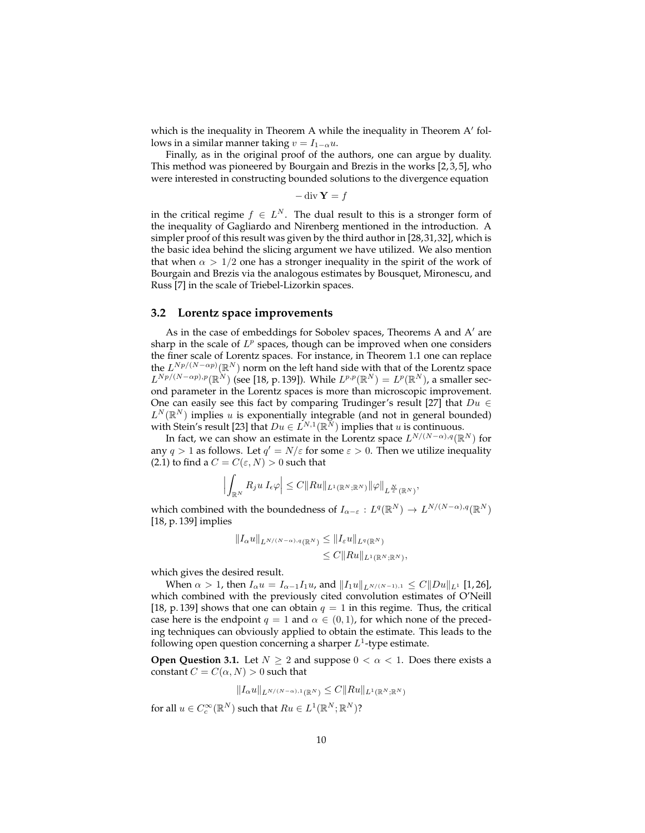which is the inequality in Theorem A while the inequality in Theorem  $A'$  follows in a similar manner taking  $v = I_{1-\alpha}u$ .

Finally, as in the original proof of the authors, one can argue by duality. This method was pioneered by Bourgain and Brezis in the works [2, 3, 5], who were interested in constructing bounded solutions to the divergence equation

$$
-\operatorname{div} \mathbf{Y} = f
$$

in the critical regime  $f \in L^N$ . The dual result to this is a stronger form of the inequality of Gagliardo and Nirenberg mentioned in the introduction. A simpler proof of this result was given by the third author in [28,31,32], which is the basic idea behind the slicing argument we have utilized. We also mention that when  $\alpha > 1/2$  one has a stronger inequality in the spirit of the work of Bourgain and Brezis via the analogous estimates by Bousquet, Mironescu, and Russ [7] in the scale of Triebel-Lizorkin spaces.

### **3.2 Lorentz space improvements**

As in the case of embeddings for Sobolev spaces, Theorems A and  $A'$  are sharp in the scale of  $L^p$  spaces, though can be improved when one considers the finer scale of Lorentz spaces. For instance, in Theorem 1.1 one can replace the  $L^{Np/(N-\alpha p)}(\mathbb{R}^{N})$  norm on the left hand side with that of the Lorentz space  $L^{Np/(N-\alpha p),p}(\mathbb{R}^N)$  (see [18, p. 139]). While  $L^{p,p}(\mathbb{R}^N)=L^p(\mathbb{R}^N)$ , a smaller second parameter in the Lorentz spaces is more than microscopic improvement. One can easily see this fact by comparing Trudinger's result [27] that  $Du \in$  $L^N(\mathbb{R}^N)$  implies u is exponentially integrable (and not in general bounded) with Stein's result [23] that  $Du \in L^{N,1}(\mathbb{R}^N)$  implies that u is continuous.

In fact, we can show an estimate in the Lorentz space  $L^{N/(N-\alpha),q}(\mathbb{R}^N)$  for any  $q > 1$  as follows. Let  $q' = N/\varepsilon$  for some  $\varepsilon > 0$ . Then we utilize inequality (2.1) to find a  $C = C(\varepsilon, N) > 0$  such that

$$
\left|\int_{\mathbb{R}^N} R_j u I_{\epsilon} \varphi\right| \leq C \|Ru\|_{L^1(\mathbb{R}^N;\mathbb{R}^N)} \|\varphi\|_{L^{\frac{N}{\varepsilon}}(\mathbb{R}^N)},
$$

which combined with the boundedness of  $I_{\alpha-\varepsilon}: L^q(\mathbb{R}^N) \to L^{N/(N-\alpha),q}(\mathbb{R}^N)$ [18, p. 139] implies

$$
||I_{\alpha}u||_{L^{N/(N-\alpha),q}(\mathbb{R}^N)} \leq ||I_{\varepsilon}u||_{L^{q}(\mathbb{R}^N)}
$$
  
\n
$$
\leq C||Ru||_{L^{1}(\mathbb{R}^N;\mathbb{R}^N)},
$$

which gives the desired result.

When  $\alpha > 1$ , then  $I_{\alpha}u = I_{\alpha-1}I_1u$ , and  $||I_1u||_{L^{N/(N-1)},1} \leq C||Du||_{L^1}$  [1, 26], which combined with the previously cited convolution estimates of O'Neill [18, p. 139] shows that one can obtain  $q = 1$  in this regime. Thus, the critical case here is the endpoint  $q = 1$  and  $\alpha \in (0, 1)$ , for which none of the preceding techniques can obviously applied to obtain the estimate. This leads to the following open question concerning a sharper  $L^1$ -type estimate.

**Open Question 3.1.** Let  $N \geq 2$  and suppose  $0 < \alpha < 1$ . Does there exists a constant  $C = C(\alpha, N) > 0$  such that

$$
||I_{\alpha}u||_{L^{N/(N-\alpha),1}(\mathbb{R}^N)} \leq C||Ru||_{L^1(\mathbb{R}^N;\mathbb{R}^N)}
$$

for all  $u \in C_c^{\infty}(\mathbb{R}^N)$  such that  $Ru \in L^1(\mathbb{R}^N;\mathbb{R}^N)$ ?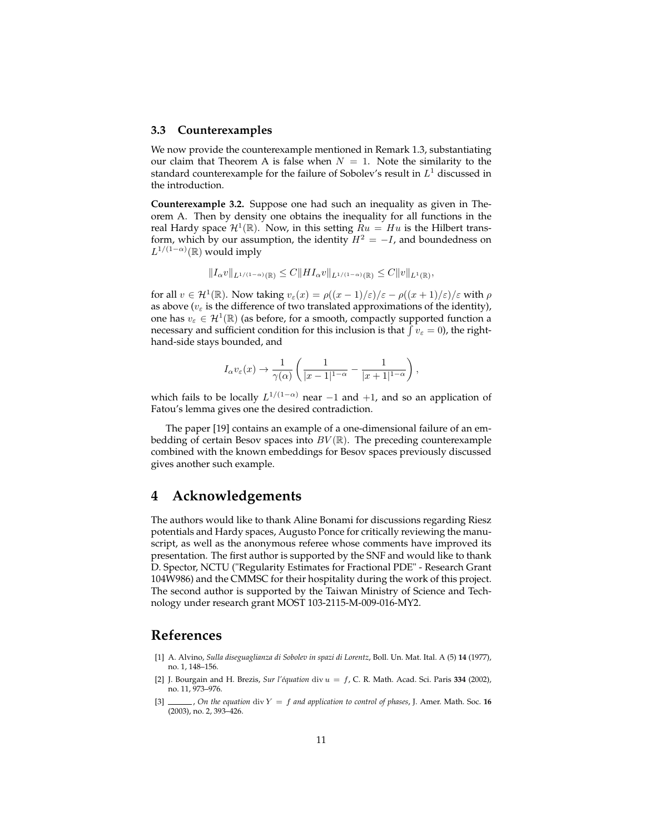## **3.3 Counterexamples**

We now provide the counterexample mentioned in Remark 1.3, substantiating our claim that Theorem A is false when  $N = 1$ . Note the similarity to the standard counterexample for the failure of Sobolev's result in  $L^1$  discussed in the introduction.

**Counterexample 3.2.** Suppose one had such an inequality as given in Theorem A. Then by density one obtains the inequality for all functions in the real Hardy space  $\mathcal{H}^1(\mathbb{R})$ . Now, in this setting  $Ru = Hu$  is the Hilbert transform, which by our assumption, the identity  $H^2 = -I$ , and boundedness on  $L^{1/(1-\alpha)}(\mathbb{R})$  would imply

$$
||I_{\alpha}v||_{L^{1/(1-\alpha)}(\mathbb{R})} \leq C||H I_{\alpha}v||_{L^{1/(1-\alpha)}(\mathbb{R})} \leq C||v||_{L^{1}(\mathbb{R})},
$$

for all  $v \in \mathcal{H}^1(\mathbb{R})$ . Now taking  $v_\varepsilon(x) = \rho((x-1)/\varepsilon)/\varepsilon - \rho((x+1)/\varepsilon)/\varepsilon$  with  $\rho$ as above ( $v_{\varepsilon}$  is the difference of two translated approximations of the identity), one has  $v_{\varepsilon} \in \mathcal{H}^1(\mathbb{R})$  (as before, for a smooth, compactly supported function a necessary and sufficient condition for this inclusion is that  $\int v_{\varepsilon} = 0$ ), the righthand-side stays bounded, and

$$
I_{\alpha}v_{\varepsilon}(x)\to \frac{1}{\gamma(\alpha)}\left(\frac{1}{|x-1|^{1-\alpha}}-\frac{1}{|x+1|^{1-\alpha}}\right),
$$

which fails to be locally  $L^{1/(1-\alpha)}$  near -1 and +1, and so an application of Fatou's lemma gives one the desired contradiction.

The paper [19] contains an example of a one-dimensional failure of an embedding of certain Besov spaces into  $BV(\mathbb{R})$ . The preceding counterexample combined with the known embeddings for Besov spaces previously discussed gives another such example.

# **4 Acknowledgements**

The authors would like to thank Aline Bonami for discussions regarding Riesz potentials and Hardy spaces, Augusto Ponce for critically reviewing the manuscript, as well as the anonymous referee whose comments have improved its presentation. The first author is supported by the SNF and would like to thank D. Spector, NCTU ("Regularity Estimates for Fractional PDE" - Research Grant 104W986) and the CMMSC for their hospitality during the work of this project. The second author is supported by the Taiwan Ministry of Science and Technology under research grant MOST 103-2115-M-009-016-MY2.

## **References**

- [1] A. Alvino, *Sulla diseguaglianza di Sobolev in spazi di Lorentz*, Boll. Un. Mat. Ital. A (5) **14** (1977), no. 1, 148–156.
- [2] J. Bourgain and H. Brezis, *Sur l'équation* div u = f, C. R. Math. Acad. Sci. Paris **334** (2002), no. 11, 973–976.
- [3]  $\_\_\_\_$ , *On the equation* div  $Y = f$  *and application to control of phases*, J. Amer. Math. Soc. 16 (2003), no. 2, 393–426.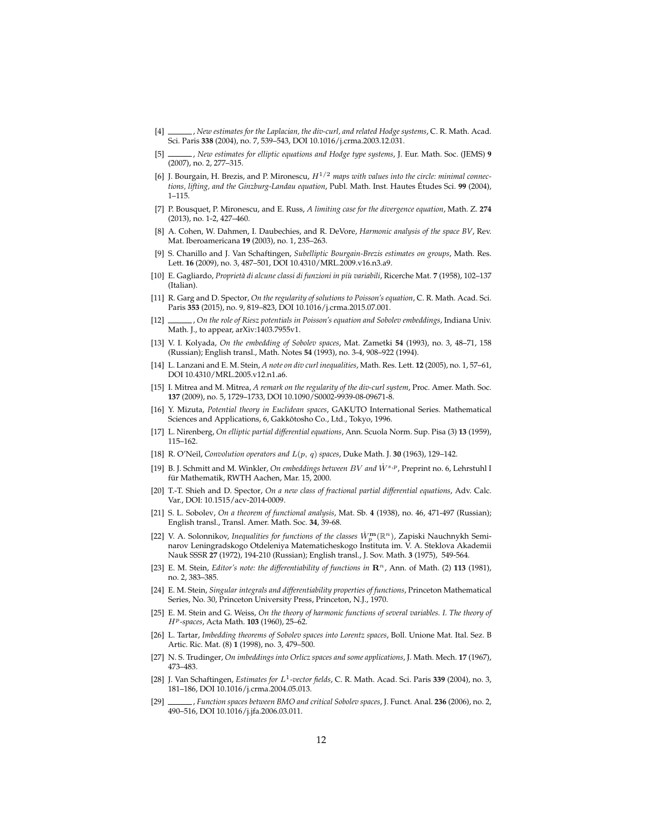- [4] , *New estimates for the Laplacian, the div-curl, and related Hodge systems*, C. R. Math. Acad. Sci. Paris **338** (2004), no. 7, 539–543, DOI 10.1016/j.crma.2003.12.031.
- [5] , *New estimates for elliptic equations and Hodge type systems*, J. Eur. Math. Soc. (JEMS) **9** (2007), no. 2, 277–315.
- [6] J. Bourgain, H. Brezis, and P. Mironescu, H1/<sup>2</sup> *maps with values into the circle: minimal connections, lifting, and the Ginzburg-Landau equation*, Publ. Math. Inst. Hautes Études Sci. **99** (2004), 1–115.
- [7] P. Bousquet, P. Mironescu, and E. Russ, *A limiting case for the divergence equation*, Math. Z. **274** (2013), no. 1-2, 427–460.
- [8] A. Cohen, W. Dahmen, I. Daubechies, and R. DeVore, *Harmonic analysis of the space BV*, Rev. Mat. Iberoamericana **19** (2003), no. 1, 235–263.
- [9] S. Chanillo and J. Van Schaftingen, *Subelliptic Bourgain-Brezis estimates on groups*, Math. Res. Lett. **16** (2009), no. 3, 487–501, DOI 10.4310/MRL.2009.v16.n3.a9.
- [10] E. Gagliardo, *Proprietà di alcune classi di funzioni in più variabili*, Ricerche Mat. **7** (1958), 102–137 (Italian).
- [11] R. Garg and D. Spector, *On the regularity of solutions to Poisson's equation*, C. R. Math. Acad. Sci. Paris **353** (2015), no. 9, 819–823, DOI 10.1016/j.crma.2015.07.001.
- [12] , *On the role of Riesz potentials in Poisson's equation and Sobolev embeddings*, Indiana Univ. Math. J., to appear, arXiv:1403.7955v1.
- [13] V. I. Kolyada, *On the embedding of Sobolev spaces*, Mat. Zametki **54** (1993), no. 3, 48–71, 158 (Russian); English transl., Math. Notes **54** (1993), no. 3-4, 908–922 (1994).
- [14] L. Lanzani and E. M. Stein, *A note on div curl inequalities*, Math. Res. Lett. **12** (2005), no. 1, 57–61, DOI 10.4310/MRL.2005.v12.n1.a6.
- [15] I. Mitrea and M. Mitrea, *A remark on the regularity of the div-curl system*, Proc. Amer. Math. Soc. **137** (2009), no. 5, 1729–1733, DOI 10.1090/S0002-9939-08-09671-8.
- [16] Y. Mizuta, *Potential theory in Euclidean spaces*, GAKUTO International Series. Mathematical Sciences and Applications, 6, Gakkotosho Co., Ltd., Tokyo, 1996.
- [17] L. Nirenberg, *On elliptic partial differential equations*, Ann. Scuola Norm. Sup. Pisa (3) **13** (1959), 115–162.
- [18] R. O'Neil, *Convolution operators and* L(p, q) *spaces*, Duke Math. J. **30** (1963), 129–142.
- [19] B. J. Schmitt and M. Winkler, *On embeddings between* BV *and* W˙ s,p, Preprint no. 6, Lehrstuhl I für Mathematik, RWTH Aachen, Mar. 15, 2000.
- [20] T.-T. Shieh and D. Spector, *On a new class of fractional partial differential equations*, Adv. Calc. Var., DOI: 10.1515/acv-2014-0009.
- [21] S. L. Sobolev, *On a theorem of functional analysis*, Mat. Sb. **4** (1938), no. 46, 471-497 (Russian); English transl., Transl. Amer. Math. Soc. **34**, 39-68.
- [22] V. A. Solonnikov, *Inequalities for functions of the classes*  $\dot{W}_p^{\mathbf{m}}(\mathbb{R}^n)$ , Zapiski Nauchnykh Seminarov Leningradskogo Otdeleniya Matematicheskogo Instituta im. V. A. Steklova Akademii Nauk SSSR **27** (1972), 194-210 (Russian); English transl., J. Sov. Math. **3** (1975), 549-564.
- [23] E. M. Stein, *Editor's note: the differentiability of functions in*  $\mathbb{R}^n$ , Ann. of Math. (2) 113 (1981), no. 2, 383–385.
- [24] E. M. Stein, *Singular integrals and differentiability properties of functions*, Princeton Mathematical Series, No. 30, Princeton University Press, Princeton, N.J., 1970.
- [25] E. M. Stein and G. Weiss, *On the theory of harmonic functions of several variables. I. The theory of* Hp*-spaces*, Acta Math. **103** (1960), 25–62.
- [26] L. Tartar, *Imbedding theorems of Sobolev spaces into Lorentz spaces*, Boll. Unione Mat. Ital. Sez. B Artic. Ric. Mat. (8) **1** (1998), no. 3, 479–500.
- [27] N. S. Trudinger, *On imbeddings into Orlicz spaces and some applications*, J. Math. Mech. **17** (1967), 473–483.
- [28] J. Van Schaftingen, *Estimates for* L<sup>1</sup> *-vector fields*, C. R. Math. Acad. Sci. Paris **339** (2004), no. 3, 181–186, DOI 10.1016/j.crma.2004.05.013.
- [29] , *Function spaces between BMO and critical Sobolev spaces*, J. Funct. Anal. **236** (2006), no. 2, 490–516, DOI 10.1016/j.jfa.2006.03.011.